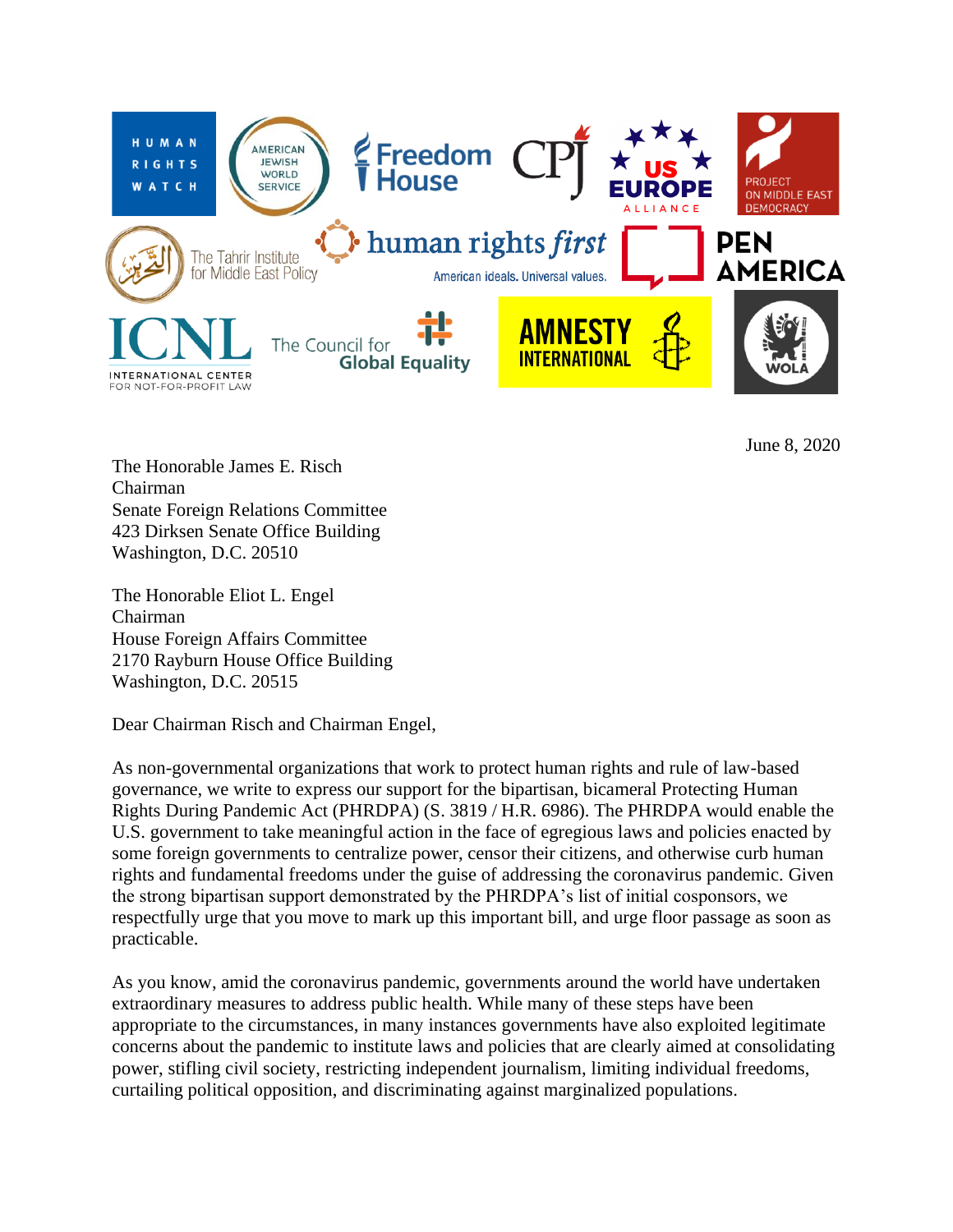

June 8, 2020

The Honorable James E. Risch Chairman Senate Foreign Relations Committee 423 Dirksen Senate Office Building Washington, D.C. 20510

The Honorable Eliot L. Engel Chairman House Foreign Affairs Committee 2170 Rayburn House Office Building Washington, D.C. 20515

Dear Chairman Risch and Chairman Engel,

As non-governmental organizations that work to protect human rights and rule of law-based governance, we write to express our support for the bipartisan, bicameral Protecting Human Rights During Pandemic Act (PHRDPA) (S. 3819 / H.R. 6986). The PHRDPA would enable the U.S. government to take meaningful action in the face of egregious laws and policies enacted by some foreign governments to centralize power, censor their citizens, and otherwise curb human rights and fundamental freedoms under the guise of addressing the coronavirus pandemic. Given the strong bipartisan support demonstrated by the PHRDPA's list of initial cosponsors, we respectfully urge that you move to mark up this important bill, and urge floor passage as soon as practicable.

As you know, amid the coronavirus pandemic, governments around the world have undertaken extraordinary measures to address public health. While many of these steps have been appropriate to the circumstances, in many instances governments have also exploited legitimate concerns about the pandemic to institute laws and policies that are clearly aimed at consolidating power, stifling civil society, restricting independent journalism, limiting individual freedoms, curtailing political opposition, and discriminating against marginalized populations.